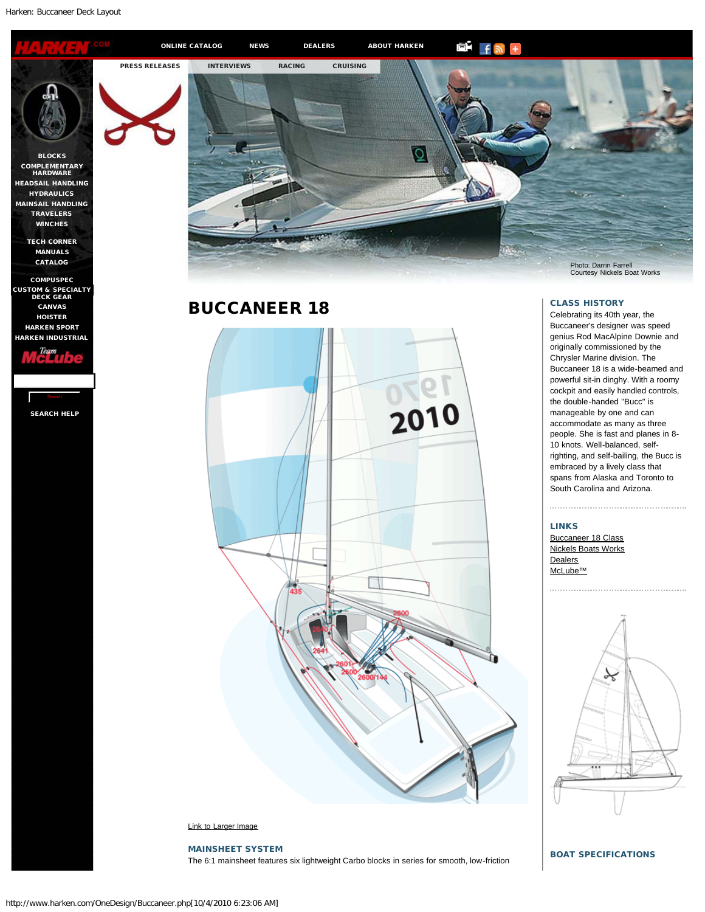<span id="page-0-0"></span>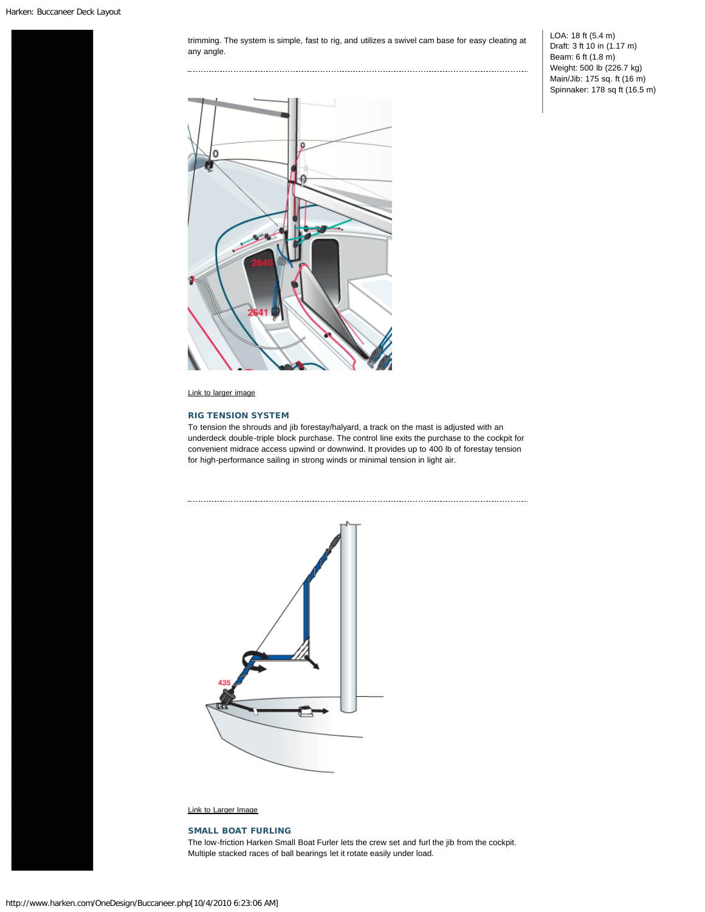trimming. The system is simple, fast to rig, and utilizes a swivel cam base for easy cleating at any angle.

......................

LOA: 18 ft (5.4 m) Draft: 3 ft 10 in (1.17 m) Beam: 6 ft (1.8 m) Weight: 500 lb (226.7 kg) Main/Jib: 175 sq. ft (16 m) Spinnaker: 178 sq ft (16.5 m)



[Link to larger image](http://www.harken.com/images/buccaneer-tension-system-lg.gif)

## RIG TENSION SYSTEM

To tension the [shrouds and jib forestay/halyard, a track on the mast is ad](http://www.harkenstore.com/uniface.urd/scpdinw1.showProd?B4RPMEB9Y9A7M8)justed with an underdeck double-triple block purchase. The control line exits the purchase to the cockpit for convenient midrace access upwind or downwind. It provides up to 400 lb of forestay tension for high-performance sailing in strong winds or minimal tension in light air.



[Link to Larger Image](http://www.harken.com/images/buccaneer-tension-system-lg.gif)

## SMALL BOAT FURLING

The l[ow-friction Harken Small Boat Furler lets th](http://www.harkenstore.com/uniface.urd/scpdinw1.showProd?B4RPMEB9Y9CLES)e crew set and furl the jib from the cockpit. Multiple stacked races of ball bearings let it rotate easily under load.